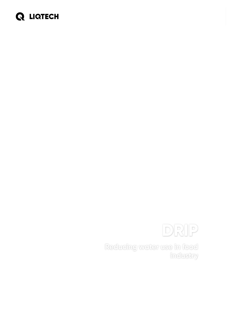# **Q LIQTECH**



**Reducing water use in food industry**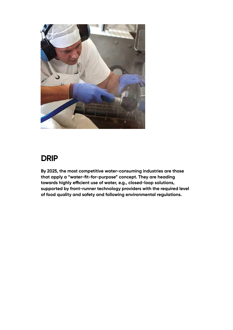

### **DRIP**

**By 2025, the most competitive water-consuming industries are those that apply a "water-fit-for-purpose" concept. They are heading towards highly ecient use of water, e.g., closed-loop solutions, supported by front-runner technology providers with the required level of food quality and safety and following environmental regulations.**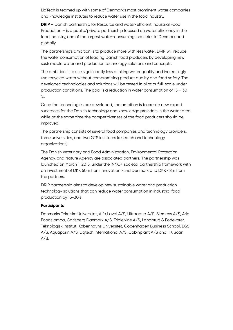LiqTech is teamed up with some of Denmark's most prominent water companies and knowledge institutes to reduce water use in the food industry.

**DRIP** – Danish partnership for Resource and water-efficient Industrial Food  $Production - is a public / private partnership focused on water efficiency in the$ food industry, one of the largest water-consuming industries in Denmark and globally.

The partnership's ambition is to produce more with less water. DRIP will reduce the water consumption of leading Danish food producers by developing new sustainable water and production technology solutions and concepts.

The ambition is to use significantly less drinking water quality and increasingly use recycled water without compromising product quality and food safety. The developed technologies and solutions will be tested in pilot or full-scale under production conditions. The goal is a reduction in water consumption of 15 – 30 %.

Once the technologies are developed, the ambition is to create new export successes for the Danish technology and knowledge providers in the water area while at the same time the competitiveness of the food producers should be improved.

The partnership consists of several food companies and technology providers, three universities, and two GTS institutes (research and technology organizations).

The Danish Veterinary and Food Administration, Environmental Protection Agency, and Nature Agency are associated partners. The partnership was launched on March 1, 2015, under the INNO+ societal partnership framework with an investment of DKK 50m from Innovation Fund Denmark and DKK 48m from the partners.

DRIP partnership aims to develop new sustainable water and production technology solutions that can reduce water consumption in industrial food production by 15-30%.

#### **Participants**

Danmarks Tekniske Universitet, Alfa Laval A/S, Ultraaqua A/S, Siemens A/S, Arla Foods amba, Carlsberg Danmark A/S, TripleNine A/S, Landbrug & Fødevarer, Teknologisk Institut, Københavns Universitet, Copenhagen Business School, DSS A/S, Aquaporin A/S, Liqtech International A/S, Cabinplant A/S and HK Scan  $A/S.$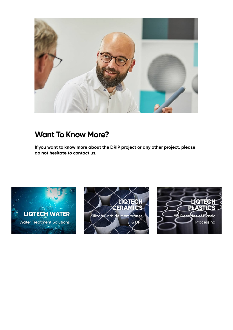

### **Want To Know More?**

**If you want to know more about the DRIP project or any other project, please do not hesitate to contact us.**